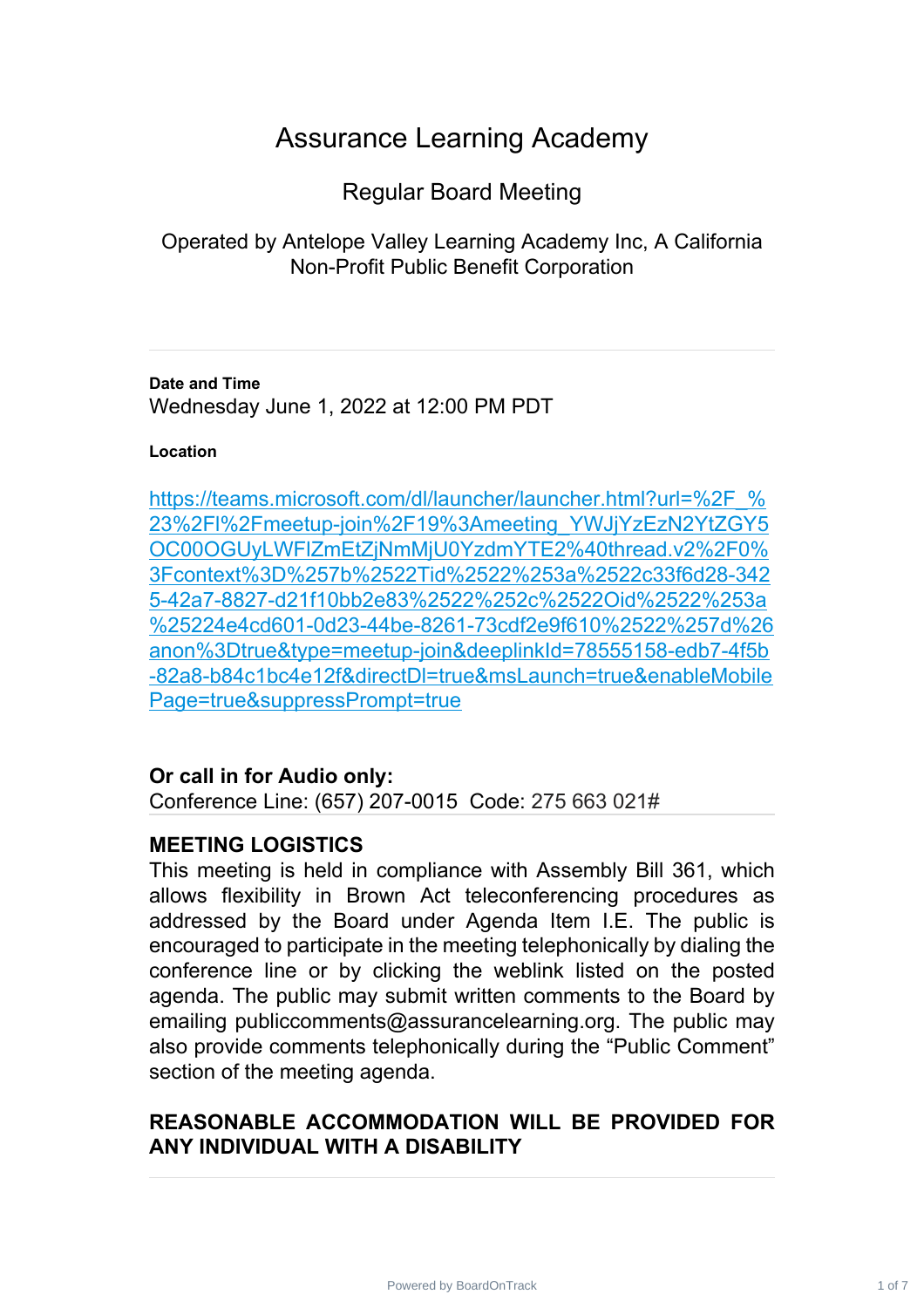# Assurance Learning Academy

Regular Board Meeting

Operated by Antelope Valley Learning Academy Inc, A California Non-Profit Public Benefit Corporation

**Date and Time** Wednesday June 1, 2022 at 12:00 PM PDT

#### **Location**

https://teams.microsoft.com/dl/launcher/launcher.html?url=%2F % 23%2Fl%2Fmeetup-join%2F19%3Ameeting\_YWJjYzEzN2YtZGY5 [OC00OGUyLWFlZmEtZjNmMjU0YzdmYTE2%40thread.v2%2F0%](https://teams.microsoft.com/dl/launcher/launcher.html?url=%2F_%23%2Fl%2Fmeetup-join%2F19%3Ameeting_YWJjYzEzN2YtZGY5OC00OGUyLWFlZmEtZjNmMjU0YzdmYTE2%40thread.v2%2F0%3Fcontext%3D%257b%2522Tid%2522%253a%2522c33f6d28-3425-42a7-8827-d21f10bb2e83%2522%252c%2522Oid%2522%253a%25224e4cd601-0d23-44be-8261-73cdf2e9f610%2522%257d%26anon%3Dtrue&type=meetup-join&deeplinkId=78555158-edb7-4f5b-82a8-b84c1bc4e12f&directDl=true&msLaunch=true&enableMobilePage=true&suppressPrompt=true) 3Fcontext%3D%257b%2522Tid%2522%253a%2522c33f6d28-342 [5-42a7-8827-d21f10bb2e83%2522%252c%2522Oid%2522%253a](https://teams.microsoft.com/dl/launcher/launcher.html?url=%2F_%23%2Fl%2Fmeetup-join%2F19%3Ameeting_YWJjYzEzN2YtZGY5OC00OGUyLWFlZmEtZjNmMjU0YzdmYTE2%40thread.v2%2F0%3Fcontext%3D%257b%2522Tid%2522%253a%2522c33f6d28-3425-42a7-8827-d21f10bb2e83%2522%252c%2522Oid%2522%253a%25224e4cd601-0d23-44be-8261-73cdf2e9f610%2522%257d%26anon%3Dtrue&type=meetup-join&deeplinkId=78555158-edb7-4f5b-82a8-b84c1bc4e12f&directDl=true&msLaunch=true&enableMobilePage=true&suppressPrompt=true) %25224e4cd601-0d23-44be-8261-73cdf2e9f610%2522%257d%26 [anon%3Dtrue&type=meetup-join&deeplinkId=78555158-edb7-4f5b](https://teams.microsoft.com/dl/launcher/launcher.html?url=%2F_%23%2Fl%2Fmeetup-join%2F19%3Ameeting_YWJjYzEzN2YtZGY5OC00OGUyLWFlZmEtZjNmMjU0YzdmYTE2%40thread.v2%2F0%3Fcontext%3D%257b%2522Tid%2522%253a%2522c33f6d28-3425-42a7-8827-d21f10bb2e83%2522%252c%2522Oid%2522%253a%25224e4cd601-0d23-44be-8261-73cdf2e9f610%2522%257d%26anon%3Dtrue&type=meetup-join&deeplinkId=78555158-edb7-4f5b-82a8-b84c1bc4e12f&directDl=true&msLaunch=true&enableMobilePage=true&suppressPrompt=true) -82a8-b84c1bc4e12f&directDl=true&msLaunch=true&enableMobile [Page=true&suppressPrompt=true](https://teams.microsoft.com/dl/launcher/launcher.html?url=%2F_%23%2Fl%2Fmeetup-join%2F19%3Ameeting_YWJjYzEzN2YtZGY5OC00OGUyLWFlZmEtZjNmMjU0YzdmYTE2%40thread.v2%2F0%3Fcontext%3D%257b%2522Tid%2522%253a%2522c33f6d28-3425-42a7-8827-d21f10bb2e83%2522%252c%2522Oid%2522%253a%25224e4cd601-0d23-44be-8261-73cdf2e9f610%2522%257d%26anon%3Dtrue&type=meetup-join&deeplinkId=78555158-edb7-4f5b-82a8-b84c1bc4e12f&directDl=true&msLaunch=true&enableMobilePage=true&suppressPrompt=true)

## **Or call in for Audio only:**

Conference Line: (657) 207-0015 Code: 275 663 021#

## **MEETING LOGISTICS**

This meeting is held in compliance with Assembly Bill 361, which allows flexibility in Brown Act teleconferencing procedures as addressed by the Board under Agenda Item I.E. The public is encouraged to participate in the meeting telephonically by dialing the conference line or by clicking the weblink listed on the posted agenda. The public may submit written comments to the Board by emailing publiccomments@assurancelearning.org. The public may also provide comments telephonically during the "Public Comment" section of the meeting agenda.

# **REASONABLE ACCOMMODATION WILL BE PROVIDED FOR ANY INDIVIDUAL WITH A DISABILITY**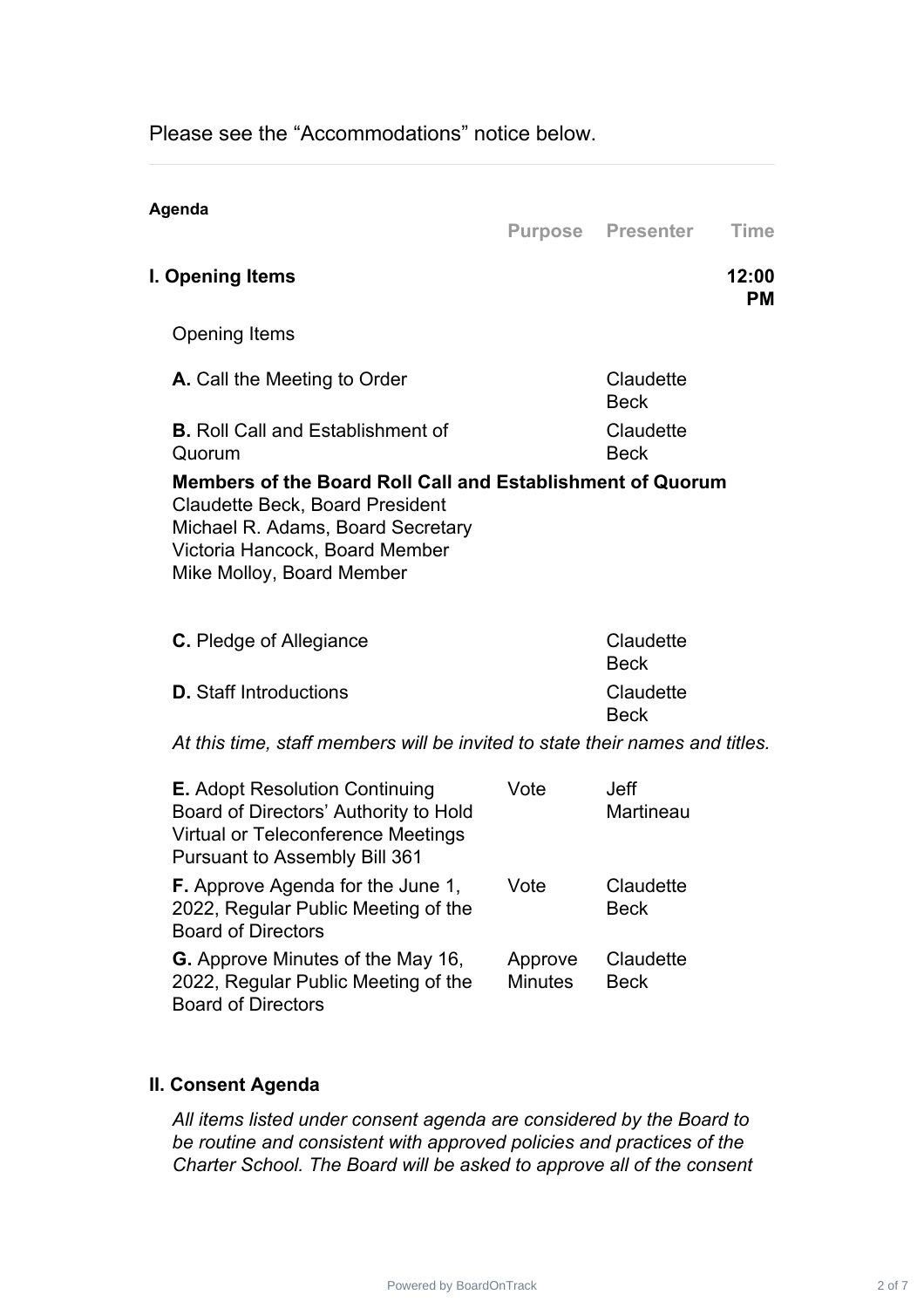Please see the "Accommodations" notice below.

| Agenda                                                                                                                                                                                                   |                           | <b>Purpose Presenter</b> | <b>Time</b>        |
|----------------------------------------------------------------------------------------------------------------------------------------------------------------------------------------------------------|---------------------------|--------------------------|--------------------|
| I. Opening Items                                                                                                                                                                                         |                           |                          | 12:00<br><b>PM</b> |
| <b>Opening Items</b>                                                                                                                                                                                     |                           |                          |                    |
| A. Call the Meeting to Order                                                                                                                                                                             |                           | Claudette<br><b>Beck</b> |                    |
| <b>B.</b> Roll Call and Establishment of<br>Quorum                                                                                                                                                       |                           | Claudette<br><b>Beck</b> |                    |
| Members of the Board Roll Call and Establishment of Quorum<br><b>Claudette Beck, Board President</b><br>Michael R. Adams, Board Secretary<br>Victoria Hancock, Board Member<br>Mike Molloy, Board Member |                           |                          |                    |
| <b>C.</b> Pledge of Allegiance                                                                                                                                                                           |                           | Claudette<br><b>Beck</b> |                    |
| <b>D.</b> Staff Introductions                                                                                                                                                                            |                           | Claudette<br><b>Beck</b> |                    |
| At this time, staff members will be invited to state their names and titles.                                                                                                                             |                           |                          |                    |
| <b>E.</b> Adopt Resolution Continuing<br>Board of Directors' Authority to Hold<br><b>Virtual or Teleconference Meetings</b><br><b>Pursuant to Assembly Bill 361</b>                                      | Vote                      | <b>Jeff</b><br>Martineau |                    |
| <b>F.</b> Approve Agenda for the June 1,<br>2022, Regular Public Meeting of the<br><b>Board of Directors</b>                                                                                             | Vote                      | Claudette<br><b>Beck</b> |                    |
| <b>G.</b> Approve Minutes of the May 16,<br>2022, Regular Public Meeting of the<br><b>Board of Directors</b>                                                                                             | Approve<br><b>Minutes</b> | Claudette<br><b>Beck</b> |                    |

#### **II. Consent Agenda**

*All items listed under consent agenda are considered by the Board to be routine and consistent with approved policies and practices of the Charter School. The Board will be asked to approve all of the consent*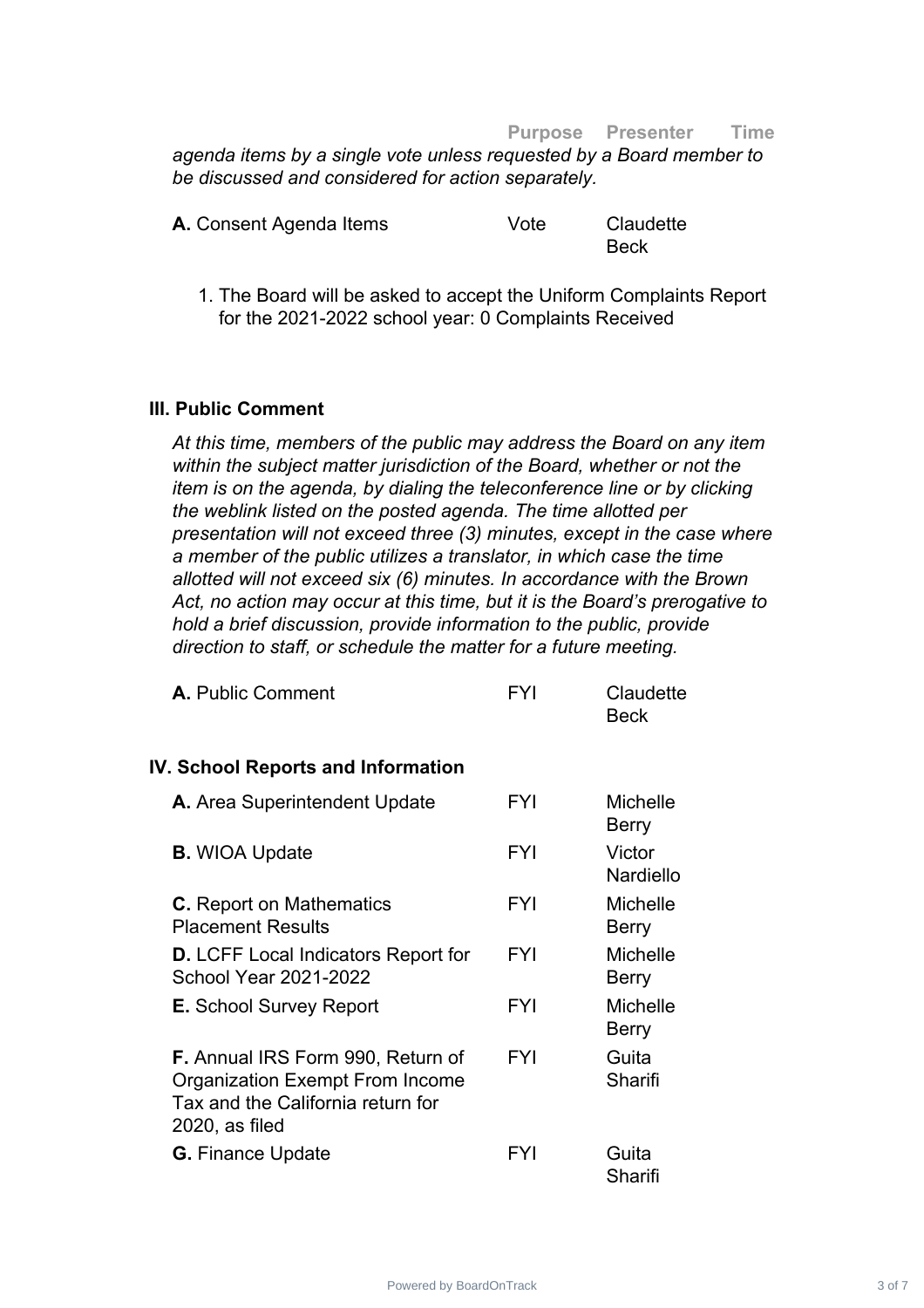#### **Purpose Presenter Time**

*agenda items by a single vote unless requested by a Board member to be discussed and considered for action separately.*

| A. Consent Agenda Items | Vote | Claudette |
|-------------------------|------|-----------|
|                         |      | Beck      |

1. The Board will be asked to accept the Uniform Complaints Report for the 2021-2022 school year: 0 Complaints Received

#### **III. Public Comment**

*At this time, members of the public may address the Board on any item within the subject matter jurisdiction of the Board, whether or not the item is on the agenda, by dialing the teleconference line or by clicking the weblink listed on the posted agenda. The time allotted per presentation will not exceed three (3) minutes, except in the case where a member of the public utilizes a translator, in which case the time allotted will not exceed six (6) minutes. In accordance with the Brown Act, no action may occur at this time, but it is the Board's prerogative to hold a brief discussion, provide information to the public, provide direction to staff, or schedule the matter for a future meeting.*

| <b>A.</b> Public Comment                                                           | FYI        | Claudette<br><b>Beck</b> |
|------------------------------------------------------------------------------------|------------|--------------------------|
| <b>IV. School Reports and Information</b>                                          |            |                          |
| A. Area Superintendent Update                                                      | <b>FYI</b> | <b>Michelle</b><br>Berry |
| <b>B.</b> WIOA Update                                                              | <b>FYI</b> | Victor<br>Nardiello      |
| <b>C.</b> Report on Mathematics<br><b>Placement Results</b>                        | <b>FYI</b> | <b>Michelle</b><br>Berry |
| <b>D.</b> LCFF Local Indicators Report for<br><b>School Year 2021-2022</b>         | FYI        | <b>Michelle</b><br>Berry |
| <b>E.</b> School Survey Report                                                     | <b>FYI</b> | <b>Michelle</b><br>Berry |
| <b>F.</b> Annual IRS Form 990, Return of<br><b>Organization Exempt From Income</b> | FYI        | Guita<br>Sharifi         |

Tax and the California return for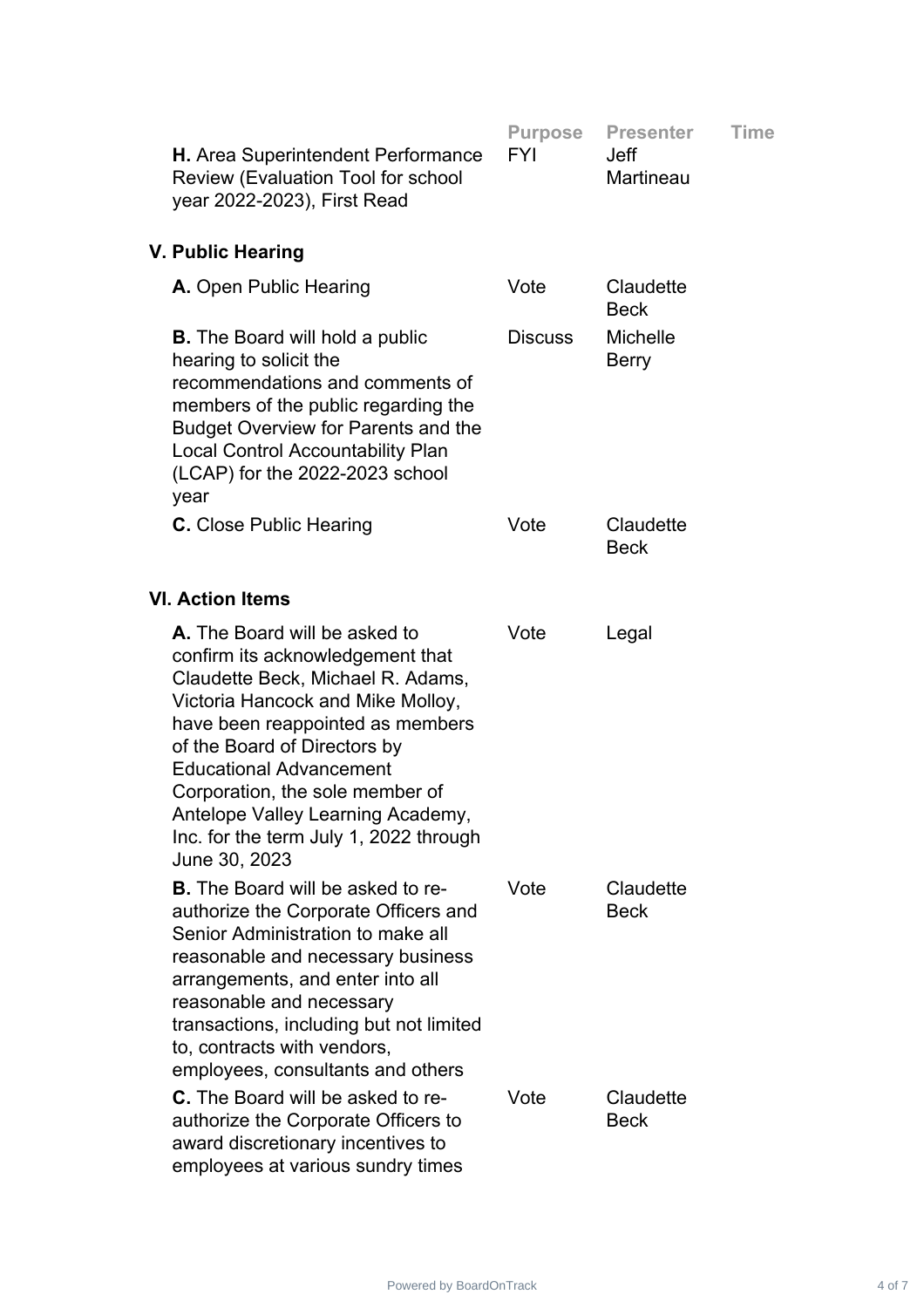| H. Area Superintendent Performance<br><b>Review (Evaluation Tool for school</b><br>year 2022-2023), First Read                                                                                                                                                                                                                                                                       | <b>Purpose</b><br><b>FYI</b> | <b>Presenter</b><br><b>Jeff</b><br>Martineau | <b>Time</b> |
|--------------------------------------------------------------------------------------------------------------------------------------------------------------------------------------------------------------------------------------------------------------------------------------------------------------------------------------------------------------------------------------|------------------------------|----------------------------------------------|-------------|
| V. Public Hearing                                                                                                                                                                                                                                                                                                                                                                    |                              |                                              |             |
| A. Open Public Hearing                                                                                                                                                                                                                                                                                                                                                               | Vote                         | Claudette<br><b>Beck</b>                     |             |
| <b>B.</b> The Board will hold a public<br>hearing to solicit the<br>recommendations and comments of<br>members of the public regarding the<br><b>Budget Overview for Parents and the</b><br><b>Local Control Accountability Plan</b><br>(LCAP) for the 2022-2023 school<br>year                                                                                                      | <b>Discuss</b>               | <b>Michelle</b><br><b>Berry</b>              |             |
| <b>C.</b> Close Public Hearing                                                                                                                                                                                                                                                                                                                                                       | Vote                         | Claudette<br><b>Beck</b>                     |             |
| <b>VI. Action Items</b>                                                                                                                                                                                                                                                                                                                                                              |                              |                                              |             |
| A. The Board will be asked to<br>confirm its acknowledgement that<br>Claudette Beck, Michael R. Adams,<br>Victoria Hancock and Mike Molloy,<br>have been reappointed as members<br>of the Board of Directors by<br><b>Educational Advancement</b><br>Corporation, the sole member of<br>Antelope Valley Learning Academy,<br>Inc. for the term July 1, 2022 through<br>June 30, 2023 | Vote                         | Legal                                        |             |
| <b>B.</b> The Board will be asked to re-<br>authorize the Corporate Officers and<br>Senior Administration to make all<br>reasonable and necessary business<br>arrangements, and enter into all<br>reasonable and necessary<br>transactions, including but not limited<br>to, contracts with vendors,<br>employees, consultants and others                                            | Vote                         | Claudette<br><b>Beck</b>                     |             |
| <b>C.</b> The Board will be asked to re-<br>authorize the Corporate Officers to<br>award discretionary incentives to<br>employees at various sundry times                                                                                                                                                                                                                            | Vote                         | Claudette<br><b>Beck</b>                     |             |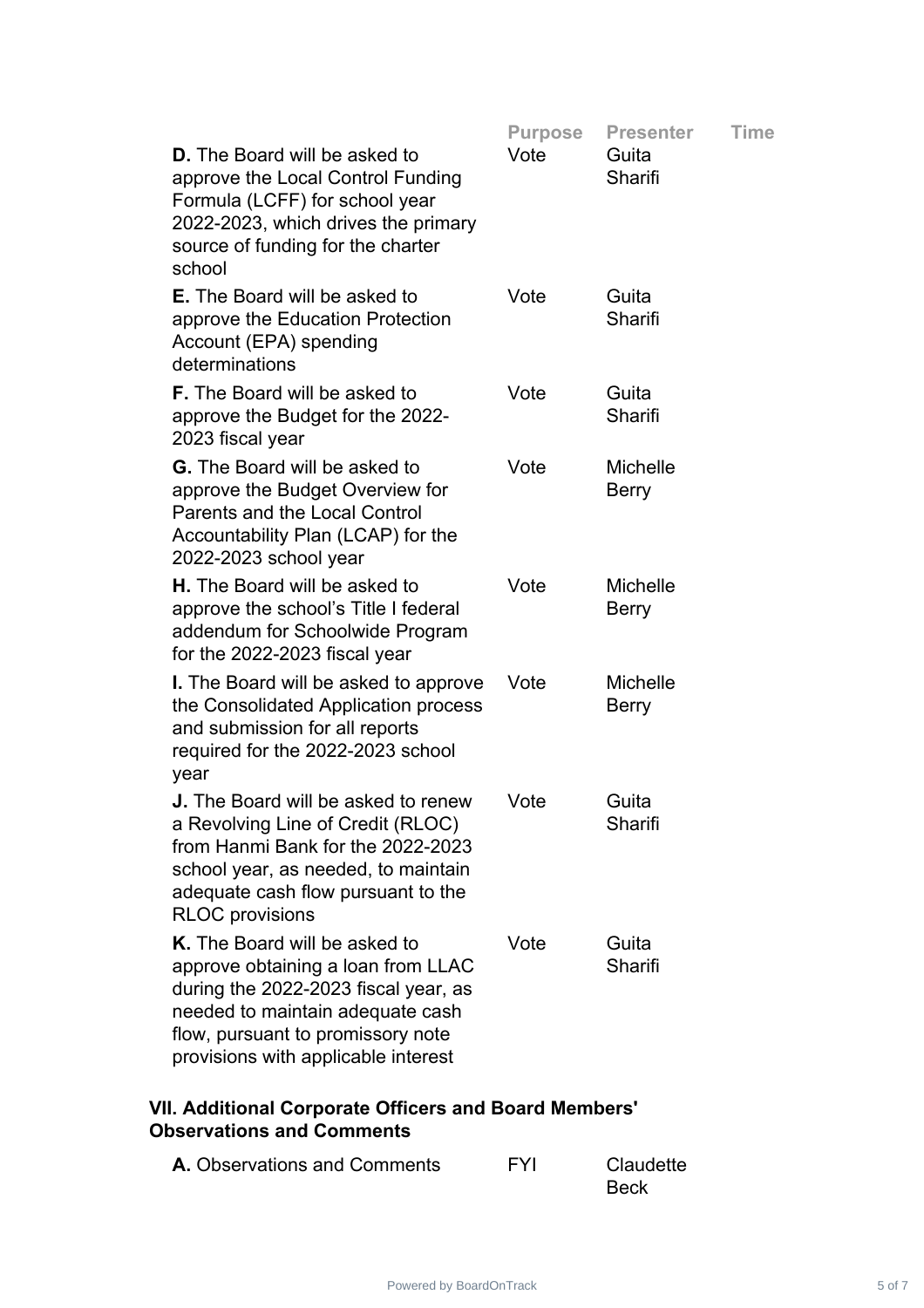|                                                                                                                                                                                                                             | <b>Purpose</b> | <b>Presenter</b>                | <b>Time</b> |
|-----------------------------------------------------------------------------------------------------------------------------------------------------------------------------------------------------------------------------|----------------|---------------------------------|-------------|
| <b>D.</b> The Board will be asked to<br>approve the Local Control Funding<br>Formula (LCFF) for school year<br>2022-2023, which drives the primary<br>source of funding for the charter<br>school                           | Vote           | Guita<br>Sharifi                |             |
| <b>E.</b> The Board will be asked to<br>approve the Education Protection<br>Account (EPA) spending<br>determinations                                                                                                        | Vote           | Guita<br>Sharifi                |             |
| <b>F.</b> The Board will be asked to<br>approve the Budget for the 2022-<br>2023 fiscal year                                                                                                                                | Vote           | Guita<br>Sharifi                |             |
| <b>G.</b> The Board will be asked to<br>approve the Budget Overview for<br>Parents and the Local Control<br>Accountability Plan (LCAP) for the<br>2022-2023 school year                                                     | Vote           | <b>Michelle</b><br>Berry        |             |
| <b>H.</b> The Board will be asked to<br>approve the school's Title I federal<br>addendum for Schoolwide Program<br>for the 2022-2023 fiscal year                                                                            | Vote           | <b>Michelle</b><br><b>Berry</b> |             |
| <b>I.</b> The Board will be asked to approve<br>the Consolidated Application process<br>and submission for all reports<br>required for the 2022-2023 school<br>year                                                         | Vote           | <b>Michelle</b><br><b>Berry</b> |             |
| <b>J.</b> The Board will be asked to renew<br>a Revolving Line of Credit (RLOC)<br>from Hanmi Bank for the 2022-2023<br>school year, as needed, to maintain<br>adequate cash flow pursuant to the<br><b>RLOC</b> provisions | Vote           | Guita<br>Sharifi                |             |
| K. The Board will be asked to<br>approve obtaining a loan from LLAC<br>during the 2022-2023 fiscal year, as<br>needed to maintain adequate cash<br>flow, pursuant to promissory note<br>provisions with applicable interest | Vote           | Guita<br>Sharifi                |             |
|                                                                                                                                                                                                                             |                |                                 |             |

# **VII. Additional Corporate Officers and Board Members' Observations and Comments**

| <b>A.</b> Observations and Comments | <b>FYI</b> | Claudette   |
|-------------------------------------|------------|-------------|
|                                     |            | <b>Beck</b> |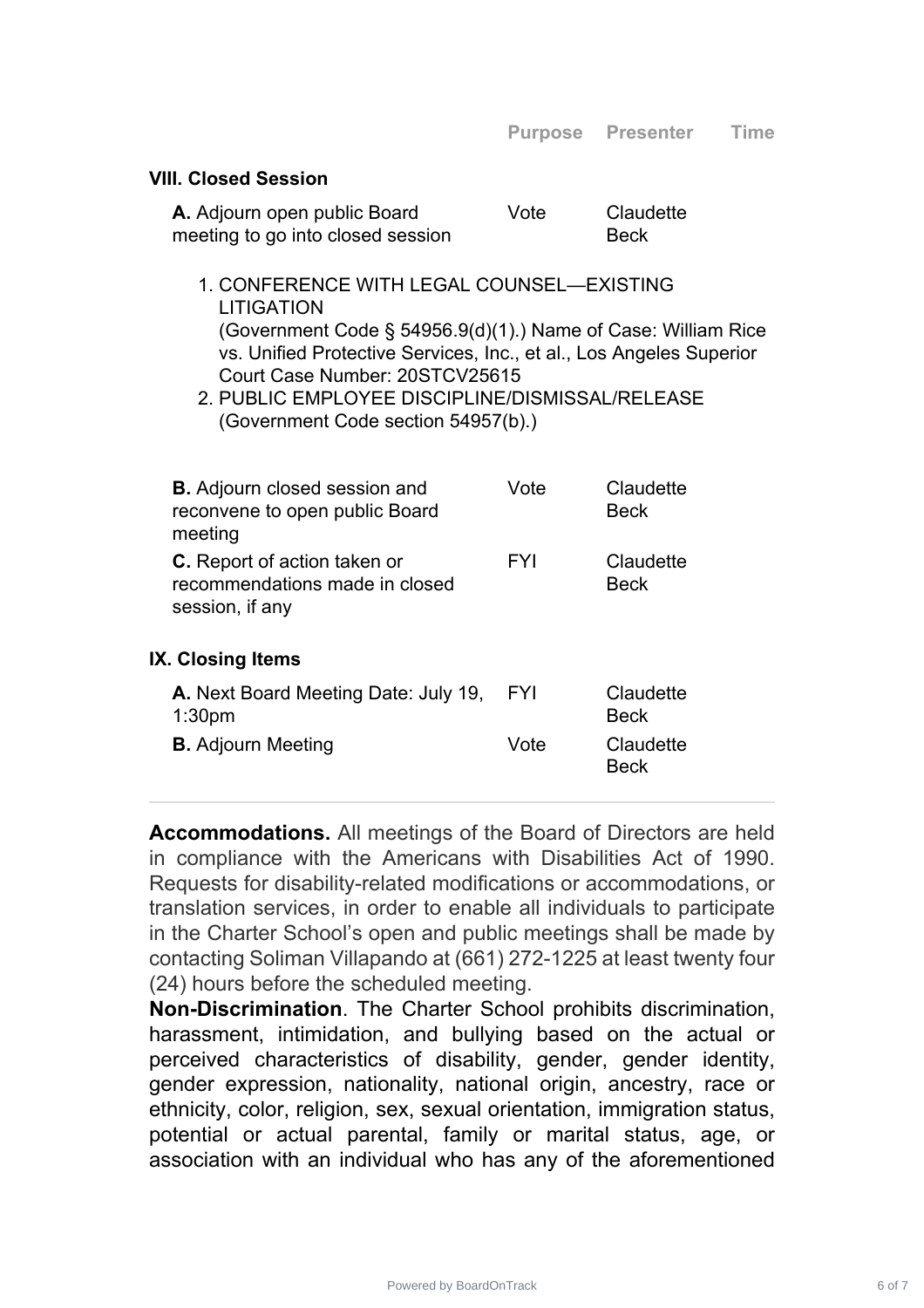#### **VIII. Closed Session**

| A. Adjourn open public Board      | Vote | Claudette   |
|-----------------------------------|------|-------------|
| meeting to go into closed session |      | <b>Beck</b> |

- 1. CONFERENCE WITH LEGAL COUNSEL—EXISTING LITIGATION (Government Code § 54956.9(d)(1).) Name of Case: William Rice vs. Unified Protective Services, Inc., et al., Los Angeles Superior Court Case Number: 20STCV25615
- 2. PUBLIC EMPLOYEE DISCIPLINE/DISMISSAL/RELEASE (Government Code section 54957(b).)

| <b>B.</b> Adjourn closed session and<br>reconvene to open public Board<br>meeting        | Vote       | Claudette<br><b>Beck</b> |
|------------------------------------------------------------------------------------------|------------|--------------------------|
| <b>C.</b> Report of action taken or<br>recommendations made in closed<br>session, if any | <b>FYI</b> | Claudette<br><b>Beck</b> |
| IX. Closing Items                                                                        |            |                          |
| A. Next Board Meeting Date: July 19,<br>1:30 <sub>pm</sub>                               | <b>FYI</b> | Claudette<br><b>Beck</b> |
|                                                                                          |            |                          |
| <b>B.</b> Adjourn Meeting                                                                | Vote       | Claudette<br><b>Beck</b> |

**Accommodations.** All meetings of the Board of Directors are held in compliance with the Americans with Disabilities Act of 1990. Requests for disability-related modifications or accommodations, or translation services, in order to enable all individuals to participate in the Charter School's open and public meetings shall be made by contacting Soliman Villapando at (661) 272-1225 at least twenty four (24) hours before the scheduled meeting.

**Non-Discrimination**. The Charter School prohibits discrimination, harassment, intimidation, and bullying based on the actual or perceived characteristics of disability, gender, gender identity, gender expression, nationality, national origin, ancestry, race or ethnicity, color, religion, sex, sexual orientation, immigration status, potential or actual parental, family or marital status, age, or association with an individual who has any of the aforementioned